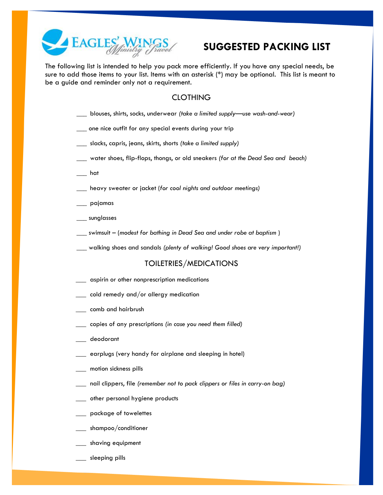

## **SUGGESTED PACKING LIST**

The following list is intended to help you pack more efficiently. If you have any special needs, be sure to add those items to your list. Items with an asterisk (\*) may be optional. This list is meant to be a guide and reminder only not a requirement.

### **CLOTHING**

- \_\_\_ blouses, shirts, socks, underwear *(take a limited supply—use wash-and-wear)*
- \_\_\_ one nice outfit for any special events during your trip
- \_\_\_ slacks, capris, jeans, skirts, shorts *(take a limited supply)*
- \_\_\_ water shoes, flip-flops, thongs, or old sneakers *(for at the Dead Sea and beach)*
- $\rule{1em}{0.15mm}$  hat
- \_\_\_ heavy sweater or jacket (*for cool nights and outdoor meetings)*
- $\_$  pajamas
- \_\_\_ sunglasses
- \_\_\_ swimsuit (*modest for bathing in Dead Sea and under robe at baptism* )
- \_\_\_ walking shoes and sandals *(plenty of walking! Good shoes are very important!)*

#### TOILETRIES/MEDICATIONS

- \_\_\_ aspirin or other nonprescription medications
- \_\_\_ cold remedy and/or allergy medication
- \_\_\_ comb and hairbrush
- \_\_\_ copies of any prescriptions *(in case you need them filled)*
- \_\_\_ deodorant
- \_\_\_ earplugs (very handy for airplane and sleeping in hotel)
- \_\_\_ motion sickness pills
- \_\_\_ nail clippers, file *(remember not to pack clippers or files in carry-on bag)*
- \_\_\_ other personal hygiene products
- \_\_\_ package of towelettes
- \_\_\_ shampoo/conditioner
- \_\_\_ shaving equipment
- \_\_\_ sleeping pills